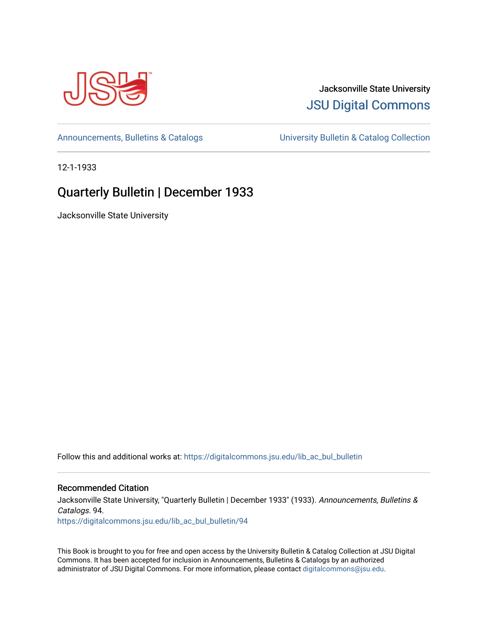

## Jacksonville State University [JSU Digital Commons](https://digitalcommons.jsu.edu/)

[Announcements, Bulletins & Catalogs](https://digitalcommons.jsu.edu/lib_ac_bul_bulletin) [University Bulletin & Catalog Collection](https://digitalcommons.jsu.edu/lib_ac_bulletin) 

12-1-1933

## Quarterly Bulletin | December 1933

Jacksonville State University

Follow this and additional works at: [https://digitalcommons.jsu.edu/lib\\_ac\\_bul\\_bulletin](https://digitalcommons.jsu.edu/lib_ac_bul_bulletin?utm_source=digitalcommons.jsu.edu%2Flib_ac_bul_bulletin%2F94&utm_medium=PDF&utm_campaign=PDFCoverPages) 

### Recommended Citation

Jacksonville State University, "Quarterly Bulletin | December 1933" (1933). Announcements, Bulletins & Catalogs. 94. [https://digitalcommons.jsu.edu/lib\\_ac\\_bul\\_bulletin/94](https://digitalcommons.jsu.edu/lib_ac_bul_bulletin/94?utm_source=digitalcommons.jsu.edu%2Flib_ac_bul_bulletin%2F94&utm_medium=PDF&utm_campaign=PDFCoverPages)

This Book is brought to you for free and open access by the University Bulletin & Catalog Collection at JSU Digital Commons. It has been accepted for inclusion in Announcements, Bulletins & Catalogs by an authorized administrator of JSU Digital Commons. For more information, please contact [digitalcommons@jsu.edu.](mailto:digitalcommons@jsu.edu)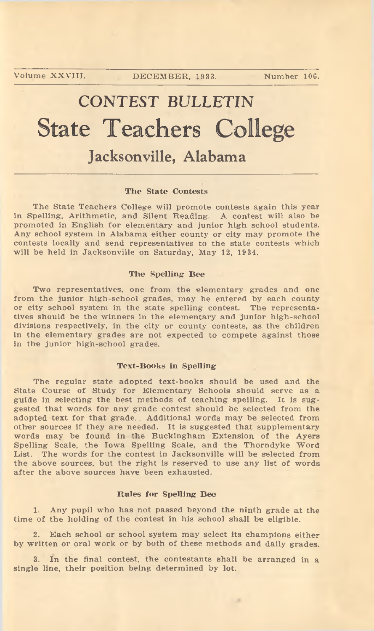# **CONTEST BULLETIN** State Teachers College **Jacksonville, Alabama**

#### The State Contests

The State Teachers College will promote contests again this year in Spelling, Arithmetic, and Silent Reading. A contest will also be promoted in English for elementary and junior high school students. Any school system in Alabama either county or city may promote the contests locally and send representatives to the state contests which will be held in Jacksonville on Saturday, May 12, 1934.

#### The Spelling Bee

Two representatives, one from the elementary grades and one from the junior high-school grades, may be entered by each county or city school system in the state spelling contest. The representatives should be the winners in the elementary and junior high-school divisions respectively, in the city or county contests, as the children in the elementary grades are not expected to compete against those in the junior high-school grades.

#### Text-Books in Spelling

The regular state adopted text-books should be used and the State Course of Study for Elementary Schools should serve as a guide in selecting the best methods of teaching spelling. It is suggested that words for any grade contest should be selected from the adopted text for that grade. Additional words may be selected from other sources if they are needed. It is suggested that supplementary words may be found in the Buckingham Extension of the Ayers Spelling Scale, the Iowa Spelling Scale, and the Thorndyke Word List. The words for the contest in Jacksonville will be selected from the above sources, but the right is reserved to use any list of words after the above sources have been exhausted.

#### Rules for Spelling Bee

1. Any pupil who has not passed beyond the ninth grade at the time of the holding of the contest in his school shall be eligible.

2. Each school or school system may select its champions either by written or oral work or by both of these methods and daily grades.

3. In the final contest, the contestants shall be arranged in a single line, their position being determined by lot.

1.8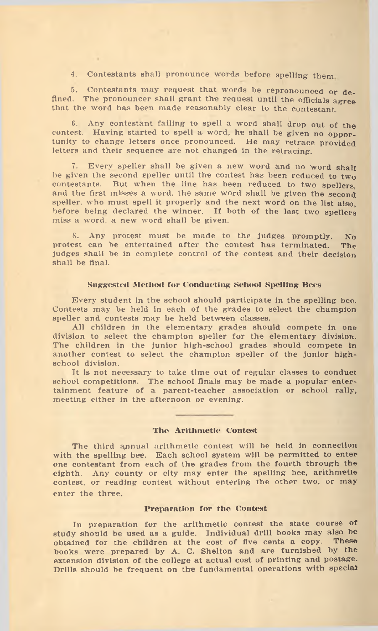4. Contestants shall pronounce words before spelling them.

5. Contestants may request that words be repronounced or defined. The pronouncer shall grant the request until the officials agree that the word has been made reasonably clear to the contestant.

6. Any contestant failing to spell a word shall drop out of the contest. Having started to spell a word, he shall be given no opportunity to change letters once pronounced. He may retrace provided letters and their sequence are not changed in the retracing.

7. Every speller shall be given a new word and no word shall be given the second speller until the contest has been reduced to two spellers contestants. But when the line has been reduced to two spellers But when the line has been reduced to two spellers, and the first misses a word, the same word shall be given the second speller, who must spell it properly and the next word on the list also, before being declared the winner. If both of the last two spellers miss a word, a new word shall be given.

8. Any protest must be made to the judges promptly. No protest can be entertained after the contest has terminated. The judges shall be in complete control of the contest and their decision shall be final.

#### Suggested Method for Conducting School Spelling Bees

Every student in the school should participate in the spelling bee. Contests may be held in each of the grades to select the champion speller and contests may be held between classes.

All children in the elementary grades should compete in one division to select the champion speller for the elementary division. The children in the junior high-school grades should compete in another contest to select the champion speller of the junior highschool division.

It is not necessary to take time out of regular classes to conduct school competitions. The school finals may be made a popular entertainment feature of a parent-teacher association or school rally, meeting either in the afternoon or evening.

#### The Arithmetic Contest

The third annual arithmetic contest will be held in connection with the spelling bee. Each school system will be permitted to enter one contestant from each of the grades from the fourth through the eighth. Any county or city may enter the spelling bee, arithmetic contest, or reading contest without entering the other two, or may enter the three.

#### Preparation for the Contest

In preparation for the arithmetic contest the state course of study should be used as a guide. Individual drill books may also be obtained for the children at the cost of five cents a conv. These obtained for the children at the cost of five cents a copy. books were prepared by A. C. Shelton and are furnished by the extension division of the college at actual cost of printing and postage. Drills should be frequent on the fundamental operations with special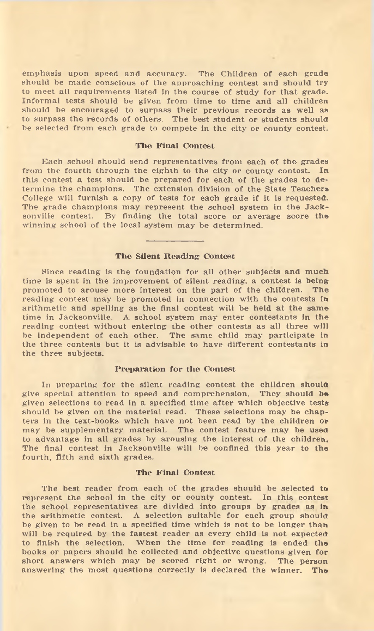em phasis upon speed and accuracy. The Children of each grade should be made conscious of the approaching contest and should try to meet all requirements listed in the course of study for that grade. Informal tests should be given from time to time and all children should be encouraged to surpass their previous records as well as to surpass the records of others. The best student or students should be selected from each grade to compete in the city or county contest.

#### The Final Contest

Each school should send representatives from each of the grades from the fourth through the eighth to the city or county contest. In this contest a test should be prepared for each of the grades to determine the champions. The extension division of the State Teachers College will furnish a copy of tests for each grade if it is requested. The grade champions may represent the school system in the Jacksonville contest. By finding the total score or average score the winning school of the local system may be determined.

#### The Silent Reading Contest

Since reading is the foundation for all other subjects and much time is spent in the improvement of silent reading, a contest is being promoted to arouse more interest on the part of the children. The reading contest may be promoted in connection with the contests in arithmetic and spelling as the final contest will be held at the same time in Jacksonville. A school system may enter contestants in the reading contest without entering the other contests as all three will be independent of each other. The same child may participate in the three contests but it is advisable to have different contestants in the three subjects.

#### Preparation for the Contest

In preparing for the silent reading contest the children should give special attention to speed and com prehension. They should be given selections to read in a specified time after which objective tests should be given on the material read. These selections may be chapters in the text-books w hich have not been read by the children or may be supplementary material. The contest feature may be used to advantage in all grades by arousing the interest of the children. The final contest in Jacksonville will be confined this year to the fourth, fifth and sixth grades.

#### The Final Contest

The best reader from each of the grades should be selected to represent the school in the city or county contest. In this contest the school representatives are divided into groups by grades as in the arithmetic contest. A selection suitable for each group should be given to be read in a specified time which is not to be longer than will be required by the fastest reader as every child is not expected to finish the selection. When the time for reading is ended the books or papers should be collected and objective questions given for short answers which may be scored right or wrong. The person answering the most questions correctly is declared the winner. The